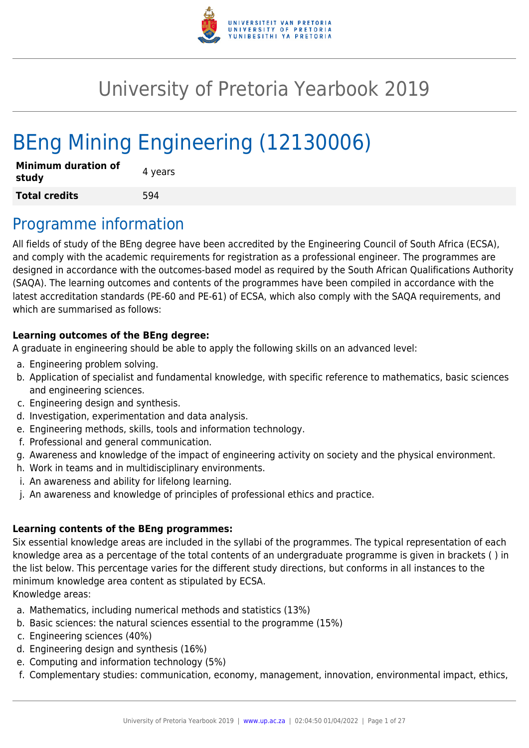

# University of Pretoria Yearbook 2019

# BEng Mining Engineering (12130006)

| <b>Minimum duration of</b><br>study | 4 years |
|-------------------------------------|---------|
| <b>Total credits</b>                | 594     |

### Programme information

All fields of study of the BEng degree have been accredited by the Engineering Council of South Africa (ECSA), and comply with the academic requirements for registration as a professional engineer. The programmes are designed in accordance with the outcomes-based model as required by the South African Qualifications Authority (SAQA). The learning outcomes and contents of the programmes have been compiled in accordance with the latest accreditation standards (PE-60 and PE-61) of ECSA, which also comply with the SAQA requirements, and which are summarised as follows:

#### **Learning outcomes of the BEng degree:**

A graduate in engineering should be able to apply the following skills on an advanced level:

- a. Engineering problem solving.
- b. Application of specialist and fundamental knowledge, with specific reference to mathematics, basic sciences and engineering sciences.
- c. Engineering design and synthesis.
- d. Investigation, experimentation and data analysis.
- e. Engineering methods, skills, tools and information technology.
- f. Professional and general communication.
- g. Awareness and knowledge of the impact of engineering activity on society and the physical environment.
- h. Work in teams and in multidisciplinary environments.
- i. An awareness and ability for lifelong learning.
- j. An awareness and knowledge of principles of professional ethics and practice.

#### **Learning contents of the BEng programmes:**

Six essential knowledge areas are included in the syllabi of the programmes. The typical representation of each knowledge area as a percentage of the total contents of an undergraduate programme is given in brackets ( ) in the list below. This percentage varies for the different study directions, but conforms in all instances to the minimum knowledge area content as stipulated by ECSA. Knowledge areas:

- a. Mathematics, including numerical methods and statistics (13%)
- b. Basic sciences: the natural sciences essential to the programme (15%)
- c. Engineering sciences (40%)
- d. Engineering design and synthesis (16%)
- e. Computing and information technology (5%)
- f. Complementary studies: communication, economy, management, innovation, environmental impact, ethics,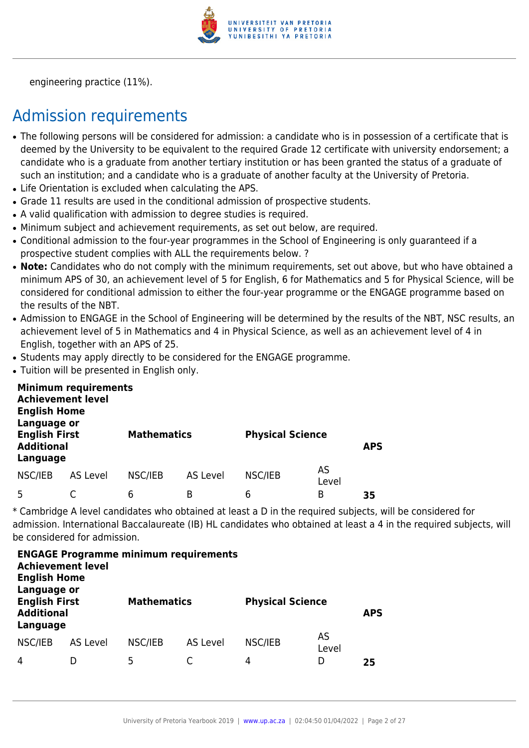

engineering practice (11%).

### Admission requirements

- The following persons will be considered for admission: a candidate who is in possession of a certificate that is deemed by the University to be equivalent to the required Grade 12 certificate with university endorsement; a candidate who is a graduate from another tertiary institution or has been granted the status of a graduate of such an institution; and a candidate who is a graduate of another faculty at the University of Pretoria.
- Life Orientation is excluded when calculating the APS.
- Grade 11 results are used in the conditional admission of prospective students.
- A valid qualification with admission to degree studies is required.
- Minimum subject and achievement requirements, as set out below, are required.
- Conditional admission to the four-year programmes in the School of Engineering is only guaranteed if a prospective student complies with ALL the requirements below. ?
- Note: Candidates who do not comply with the minimum requirements, set out above, but who have obtained a minimum APS of 30, an achievement level of 5 for English, 6 for Mathematics and 5 for Physical Science, will be considered for conditional admission to either the four-year programme or the ENGAGE programme based on the results of the NBT.
- Admission to ENGAGE in the School of Engineering will be determined by the results of the NBT. NSC results, an achievement level of 5 in Mathematics and 4 in Physical Science, as well as an achievement level of 4 in English, together with an APS of 25.
- Students may apply directly to be considered for the ENGAGE programme.
- Tuition will be presented in English only.

| <b>English Home</b><br>Language or                    | <b>Minimum requirements</b><br><b>Achievement level</b> |                    |          |                         |             |            |
|-------------------------------------------------------|---------------------------------------------------------|--------------------|----------|-------------------------|-------------|------------|
| <b>English First</b><br><b>Additional</b><br>Language |                                                         | <b>Mathematics</b> |          | <b>Physical Science</b> |             | <b>APS</b> |
| NSC/IEB                                               | AS Level                                                | NSC/IEB            | AS Level | NSC/IEB                 | AS<br>Level |            |
| 5                                                     |                                                         | 6                  | B        | 6                       | B           | 35         |

\* Cambridge A level candidates who obtained at least a D in the required subjects, will be considered for admission. International Baccalaureate (IB) HL candidates who obtained at least a 4 in the required subjects, will be considered for admission.

| <b>Achievement level</b><br><b>English Home</b><br>Language or |          | <b>ENGAGE Programme minimum requirements</b> |          |                         |             |            |
|----------------------------------------------------------------|----------|----------------------------------------------|----------|-------------------------|-------------|------------|
| <b>English First</b><br><b>Additional</b><br>Language          |          | <b>Mathematics</b>                           |          | <b>Physical Science</b> |             | <b>APS</b> |
| NSC/IEB                                                        | AS Level | NSC/IEB                                      | AS Level | NSC/IEB                 | AS<br>Level |            |
| 4                                                              |          | 5                                            |          | 4                       | D           | 25         |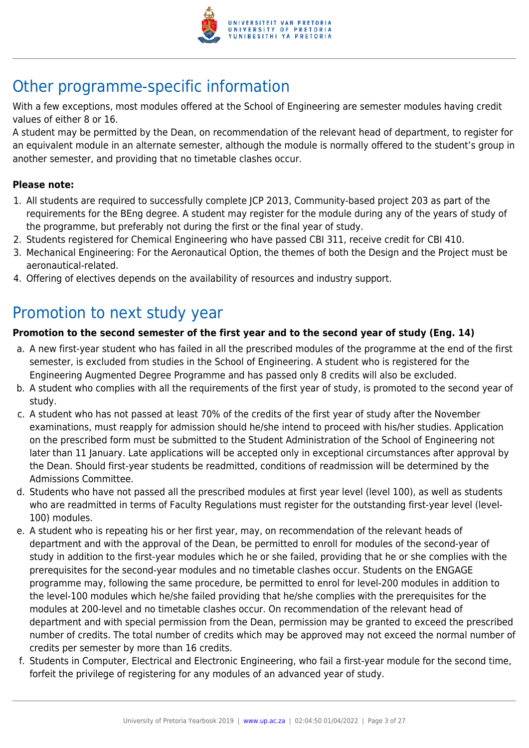

## Other programme-specific information

With a few exceptions, most modules offered at the School of Engineering are semester modules having credit values of either 8 or 16.

A student may be permitted by the Dean, on recommendation of the relevant head of department, to register for an equivalent module in an alternate semester, although the module is normally offered to the student's group in another semester, and providing that no timetable clashes occur.

#### **Please note:**

- 1. All students are required to successfully complete JCP 2013, Community-based project 203 as part of the requirements for the BEng degree. A student may register for the module during any of the years of study of the programme, but preferably not during the first or the final year of study.
- 2. Students registered for Chemical Engineering who have passed CBI 311, receive credit for CBI 410.
- 3. Mechanical Engineering: For the Aeronautical Option, the themes of both the Design and the Project must be aeronautical-related.
- 4. Offering of electives depends on the availability of resources and industry support.

### Promotion to next study year

#### **Promotion to the second semester of the first year and to the second year of study (Eng. 14)**

- a. A new first-year student who has failed in all the prescribed modules of the programme at the end of the first semester, is excluded from studies in the School of Engineering. A student who is registered for the Engineering Augmented Degree Programme and has passed only 8 credits will also be excluded.
- b. A student who complies with all the requirements of the first year of study, is promoted to the second year of study.
- c. A student who has not passed at least 70% of the credits of the first year of study after the November examinations, must reapply for admission should he/she intend to proceed with his/her studies. Application on the prescribed form must be submitted to the Student Administration of the School of Engineering not later than 11 January. Late applications will be accepted only in exceptional circumstances after approval by the Dean. Should first-year students be readmitted, conditions of readmission will be determined by the Admissions Committee.
- d. Students who have not passed all the prescribed modules at first year level (level 100), as well as students who are readmitted in terms of Faculty Regulations must register for the outstanding first-year level (level-100) modules.
- e. A student who is repeating his or her first year, may, on recommendation of the relevant heads of department and with the approval of the Dean, be permitted to enroll for modules of the second-year of study in addition to the first-year modules which he or she failed, providing that he or she complies with the prerequisites for the second-year modules and no timetable clashes occur. Students on the ENGAGE programme may, following the same procedure, be permitted to enrol for level-200 modules in addition to the level-100 modules which he/she failed providing that he/she complies with the prerequisites for the modules at 200-level and no timetable clashes occur. On recommendation of the relevant head of department and with special permission from the Dean, permission may be granted to exceed the prescribed number of credits. The total number of credits which may be approved may not exceed the normal number of credits per semester by more than 16 credits.
- f. Students in Computer, Electrical and Electronic Engineering, who fail a first-year module for the second time, forfeit the privilege of registering for any modules of an advanced year of study.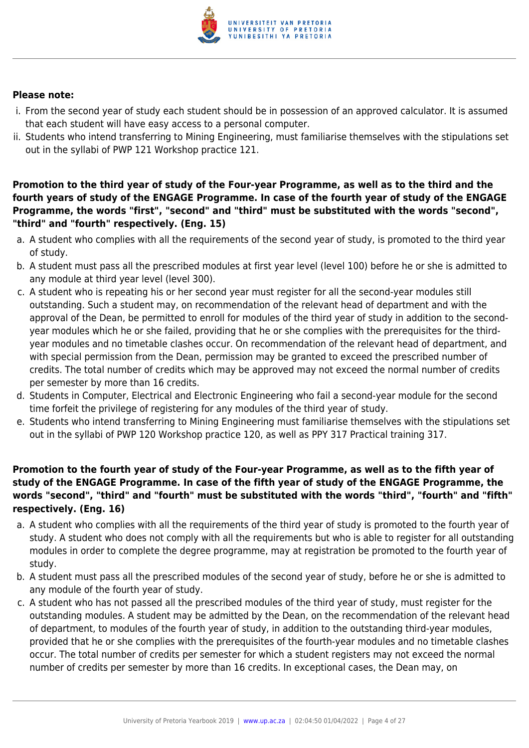

#### **Please note:**

- i. From the second year of study each student should be in possession of an approved calculator. It is assumed that each student will have easy access to a personal computer.
- ii. Students who intend transferring to Mining Engineering, must familiarise themselves with the stipulations set out in the syllabi of PWP 121 Workshop practice 121.

**Promotion to the third year of study of the Four-year Programme, as well as to the third and the fourth years of study of the ENGAGE Programme. In case of the fourth year of study of the ENGAGE Programme, the words "first", "second" and "third" must be substituted with the words "second", "third" and "fourth" respectively. (Eng. 15)**

- a. A student who complies with all the requirements of the second year of study, is promoted to the third year of study.
- b. A student must pass all the prescribed modules at first year level (level 100) before he or she is admitted to any module at third year level (level 300).
- c. A student who is repeating his or her second year must register for all the second-year modules still outstanding. Such a student may, on recommendation of the relevant head of department and with the approval of the Dean, be permitted to enroll for modules of the third year of study in addition to the secondyear modules which he or she failed, providing that he or she complies with the prerequisites for the thirdyear modules and no timetable clashes occur. On recommendation of the relevant head of department, and with special permission from the Dean, permission may be granted to exceed the prescribed number of credits. The total number of credits which may be approved may not exceed the normal number of credits per semester by more than 16 credits.
- d. Students in Computer, Electrical and Electronic Engineering who fail a second-year module for the second time forfeit the privilege of registering for any modules of the third year of study.
- e. Students who intend transferring to Mining Engineering must familiarise themselves with the stipulations set out in the syllabi of PWP 120 Workshop practice 120, as well as PPY 317 Practical training 317.

#### **Promotion to the fourth year of study of the Four-year Programme, as well as to the fifth year of study of the ENGAGE Programme. In case of the fifth year of study of the ENGAGE Programme, the words "second", "third" and "fourth" must be substituted with the words "third", "fourth" and "fifth" respectively. (Eng. 16)**

- a. A student who complies with all the requirements of the third year of study is promoted to the fourth year of study. A student who does not comply with all the requirements but who is able to register for all outstanding modules in order to complete the degree programme, may at registration be promoted to the fourth year of study.
- b. A student must pass all the prescribed modules of the second year of study, before he or she is admitted to any module of the fourth year of study.
- c. A student who has not passed all the prescribed modules of the third year of study, must register for the outstanding modules. A student may be admitted by the Dean, on the recommendation of the relevant head of department, to modules of the fourth year of study, in addition to the outstanding third-year modules, provided that he or she complies with the prerequisites of the fourth-year modules and no timetable clashes occur. The total number of credits per semester for which a student registers may not exceed the normal number of credits per semester by more than 16 credits. In exceptional cases, the Dean may, on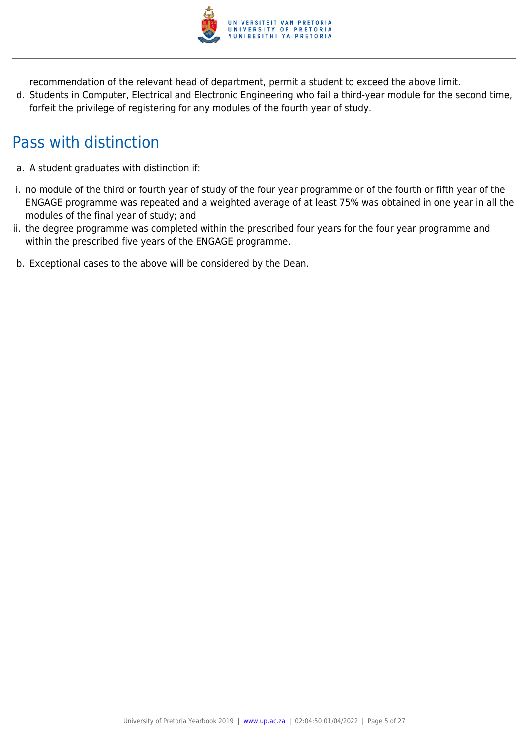

recommendation of the relevant head of department, permit a student to exceed the above limit.

d. Students in Computer, Electrical and Electronic Engineering who fail a third-year module for the second time, forfeit the privilege of registering for any modules of the fourth year of study.

### Pass with distinction

- a. A student graduates with distinction if:
- i. no module of the third or fourth year of study of the four year programme or of the fourth or fifth year of the ENGAGE programme was repeated and a weighted average of at least 75% was obtained in one year in all the modules of the final year of study; and
- ii. the degree programme was completed within the prescribed four years for the four year programme and within the prescribed five years of the ENGAGE programme.
- b. Exceptional cases to the above will be considered by the Dean.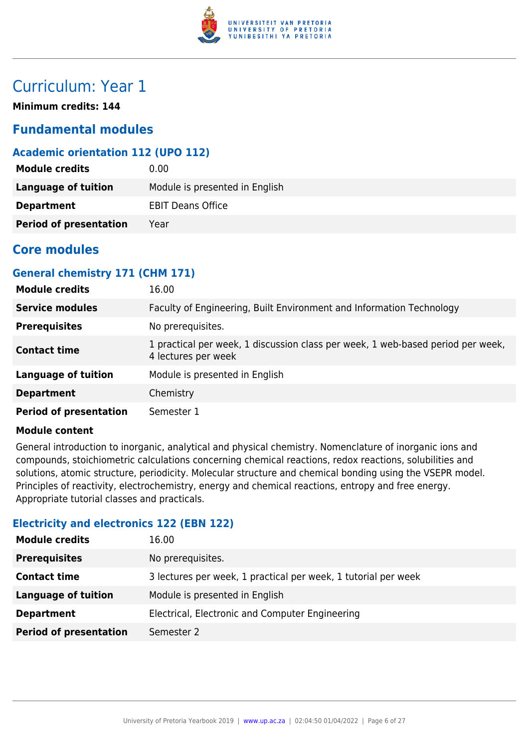

### Curriculum: Year 1

**Minimum credits: 144**

#### **Fundamental modules**

#### **Academic orientation 112 (UPO 112)**

| <b>Module credits</b>         | 0.00                           |
|-------------------------------|--------------------------------|
| Language of tuition           | Module is presented in English |
| <b>Department</b>             | <b>EBIT Deans Office</b>       |
| <b>Period of presentation</b> | Year                           |

#### **Core modules**

#### **General chemistry 171 (CHM 171)**

| <b>Module credits</b>         | 16.00                                                                                                  |
|-------------------------------|--------------------------------------------------------------------------------------------------------|
| <b>Service modules</b>        | Faculty of Engineering, Built Environment and Information Technology                                   |
| <b>Prerequisites</b>          | No prerequisites.                                                                                      |
| <b>Contact time</b>           | 1 practical per week, 1 discussion class per week, 1 web-based period per week,<br>4 lectures per week |
| <b>Language of tuition</b>    | Module is presented in English                                                                         |
| <b>Department</b>             | Chemistry                                                                                              |
| <b>Period of presentation</b> | Semester 1                                                                                             |

#### **Module content**

General introduction to inorganic, analytical and physical chemistry. Nomenclature of inorganic ions and compounds, stoichiometric calculations concerning chemical reactions, redox reactions, solubilities and solutions, atomic structure, periodicity. Molecular structure and chemical bonding using the VSEPR model. Principles of reactivity, electrochemistry, energy and chemical reactions, entropy and free energy. Appropriate tutorial classes and practicals.

#### **Electricity and electronics 122 (EBN 122)**

| <b>Module credits</b>         | 16.00                                                          |
|-------------------------------|----------------------------------------------------------------|
| <b>Prerequisites</b>          | No prerequisites.                                              |
| <b>Contact time</b>           | 3 lectures per week, 1 practical per week, 1 tutorial per week |
| <b>Language of tuition</b>    | Module is presented in English                                 |
| <b>Department</b>             | Electrical, Electronic and Computer Engineering                |
| <b>Period of presentation</b> | Semester 2                                                     |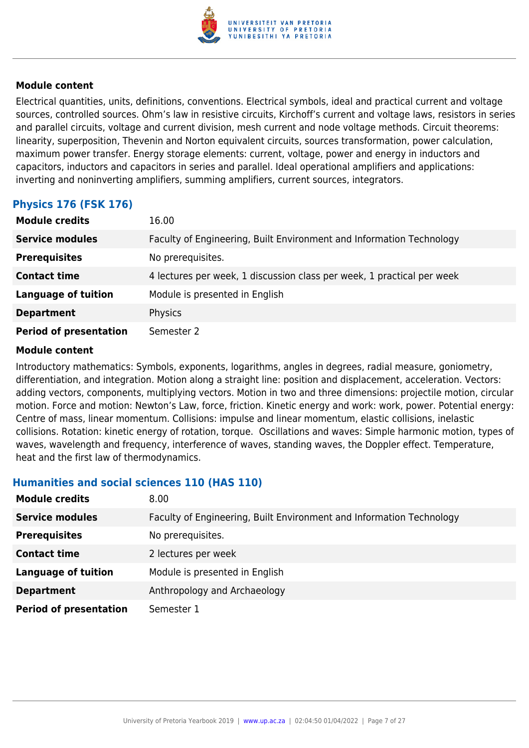

Electrical quantities, units, definitions, conventions. Electrical symbols, ideal and practical current and voltage sources, controlled sources. Ohm's law in resistive circuits, Kirchoff's current and voltage laws, resistors in series and parallel circuits, voltage and current division, mesh current and node voltage methods. Circuit theorems: linearity, superposition, Thevenin and Norton equivalent circuits, sources transformation, power calculation, maximum power transfer. Energy storage elements: current, voltage, power and energy in inductors and capacitors, inductors and capacitors in series and parallel. Ideal operational amplifiers and applications: inverting and noninverting amplifiers, summing amplifiers, current sources, integrators.

#### **Physics 176 (FSK 176)**

| <b>Module credits</b>         | 16.00                                                                  |
|-------------------------------|------------------------------------------------------------------------|
| <b>Service modules</b>        | Faculty of Engineering, Built Environment and Information Technology   |
| <b>Prerequisites</b>          | No prerequisites.                                                      |
| <b>Contact time</b>           | 4 lectures per week, 1 discussion class per week, 1 practical per week |
| <b>Language of tuition</b>    | Module is presented in English                                         |
| <b>Department</b>             | Physics                                                                |
| <b>Period of presentation</b> | Semester 2                                                             |

#### **Module content**

Introductory mathematics: Symbols, exponents, logarithms, angles in degrees, radial measure, goniometry, differentiation, and integration. Motion along a straight line: position and displacement, acceleration. Vectors: adding vectors, components, multiplying vectors. Motion in two and three dimensions: projectile motion, circular motion. Force and motion: Newton's Law, force, friction. Kinetic energy and work: work, power. Potential energy: Centre of mass, linear momentum. Collisions: impulse and linear momentum, elastic collisions, inelastic collisions. Rotation: kinetic energy of rotation, torque. Oscillations and waves: Simple harmonic motion, types of waves, wavelength and frequency, interference of waves, standing waves, the Doppler effect. Temperature, heat and the first law of thermodynamics.

#### **Humanities and social sciences 110 (HAS 110)**

| <b>Module credits</b>         | 8.00                                                                 |
|-------------------------------|----------------------------------------------------------------------|
| <b>Service modules</b>        | Faculty of Engineering, Built Environment and Information Technology |
| <b>Prerequisites</b>          | No prerequisites.                                                    |
| <b>Contact time</b>           | 2 lectures per week                                                  |
| <b>Language of tuition</b>    | Module is presented in English                                       |
| <b>Department</b>             | Anthropology and Archaeology                                         |
| <b>Period of presentation</b> | Semester 1                                                           |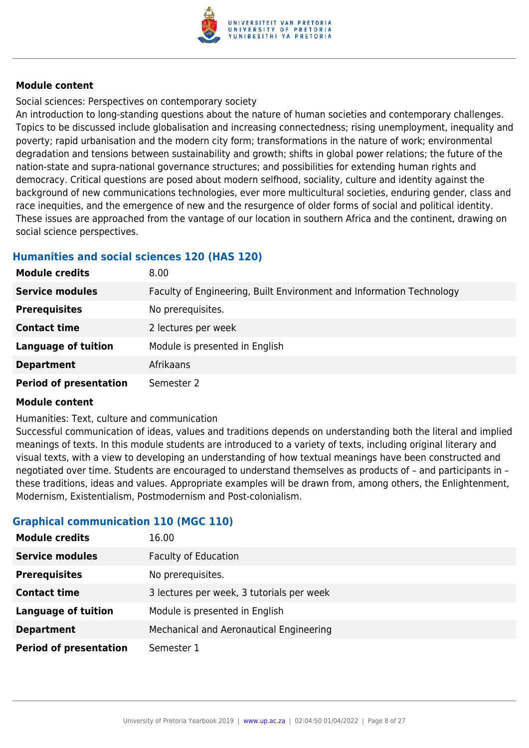

Social sciences: Perspectives on contemporary society

An introduction to long-standing questions about the nature of human societies and contemporary challenges. Topics to be discussed include globalisation and increasing connectedness; rising unemployment, inequality and poverty; rapid urbanisation and the modern city form; transformations in the nature of work; environmental degradation and tensions between sustainability and growth; shifts in global power relations; the future of the nation-state and supra-national governance structures; and possibilities for extending human rights and democracy. Critical questions are posed about modern selfhood, sociality, culture and identity against the background of new communications technologies, ever more multicultural societies, enduring gender, class and race inequities, and the emergence of new and the resurgence of older forms of social and political identity. These issues are approached from the vantage of our location in southern Africa and the continent, drawing on social science perspectives.

#### **Humanities and social sciences 120 (HAS 120)**

| <b>Module credits</b>         | 8.00                                                                 |
|-------------------------------|----------------------------------------------------------------------|
| <b>Service modules</b>        | Faculty of Engineering, Built Environment and Information Technology |
| <b>Prerequisites</b>          | No prerequisites.                                                    |
| <b>Contact time</b>           | 2 lectures per week                                                  |
| <b>Language of tuition</b>    | Module is presented in English                                       |
| <b>Department</b>             | Afrikaans                                                            |
| <b>Period of presentation</b> | Semester 2                                                           |

#### **Module content**

Humanities: Text, culture and communication

Successful communication of ideas, values and traditions depends on understanding both the literal and implied meanings of texts. In this module students are introduced to a variety of texts, including original literary and visual texts, with a view to developing an understanding of how textual meanings have been constructed and negotiated over time. Students are encouraged to understand themselves as products of – and participants in – these traditions, ideas and values. Appropriate examples will be drawn from, among others, the Enlightenment, Modernism, Existentialism, Postmodernism and Post-colonialism.

#### **Graphical communication 110 (MGC 110)**

| <b>Module credits</b>         | 16.00                                     |
|-------------------------------|-------------------------------------------|
| <b>Service modules</b>        | <b>Faculty of Education</b>               |
| <b>Prerequisites</b>          | No prerequisites.                         |
| <b>Contact time</b>           | 3 lectures per week, 3 tutorials per week |
| <b>Language of tuition</b>    | Module is presented in English            |
| <b>Department</b>             | Mechanical and Aeronautical Engineering   |
| <b>Period of presentation</b> | Semester 1                                |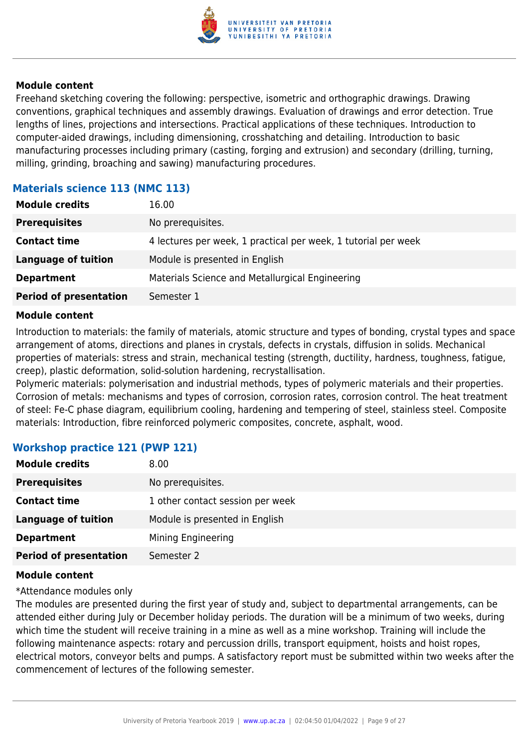

Freehand sketching covering the following: perspective, isometric and orthographic drawings. Drawing conventions, graphical techniques and assembly drawings. Evaluation of drawings and error detection. True lengths of lines, projections and intersections. Practical applications of these techniques. Introduction to computer-aided drawings, including dimensioning, crosshatching and detailing. Introduction to basic manufacturing processes including primary (casting, forging and extrusion) and secondary (drilling, turning, milling, grinding, broaching and sawing) manufacturing procedures.

#### **Materials science 113 (NMC 113)**

| <b>Module credits</b>         | 16.00                                                          |
|-------------------------------|----------------------------------------------------------------|
| <b>Prerequisites</b>          | No prerequisites.                                              |
| <b>Contact time</b>           | 4 lectures per week, 1 practical per week, 1 tutorial per week |
| <b>Language of tuition</b>    | Module is presented in English                                 |
| <b>Department</b>             | Materials Science and Metallurgical Engineering                |
| <b>Period of presentation</b> | Semester 1                                                     |

#### **Module content**

Introduction to materials: the family of materials, atomic structure and types of bonding, crystal types and space arrangement of atoms, directions and planes in crystals, defects in crystals, diffusion in solids. Mechanical properties of materials: stress and strain, mechanical testing (strength, ductility, hardness, toughness, fatigue, creep), plastic deformation, solid-solution hardening, recrystallisation.

Polymeric materials: polymerisation and industrial methods, types of polymeric materials and their properties. Corrosion of metals: mechanisms and types of corrosion, corrosion rates, corrosion control. The heat treatment of steel: Fe-C phase diagram, equilibrium cooling, hardening and tempering of steel, stainless steel. Composite materials: Introduction, fibre reinforced polymeric composites, concrete, asphalt, wood.

#### **Workshop practice 121 (PWP 121)**

| <b>Module credits</b>         | 8.00                             |
|-------------------------------|----------------------------------|
| <b>Prerequisites</b>          | No prerequisites.                |
| <b>Contact time</b>           | 1 other contact session per week |
| <b>Language of tuition</b>    | Module is presented in English   |
| <b>Department</b>             | Mining Engineering               |
| <b>Period of presentation</b> | Semester 2                       |

#### **Module content**

#### \*Attendance modules only

The modules are presented during the first year of study and, subject to departmental arrangements, can be attended either during July or December holiday periods. The duration will be a minimum of two weeks, during which time the student will receive training in a mine as well as a mine workshop. Training will include the following maintenance aspects: rotary and percussion drills, transport equipment, hoists and hoist ropes, electrical motors, conveyor belts and pumps. A satisfactory report must be submitted within two weeks after the commencement of lectures of the following semester.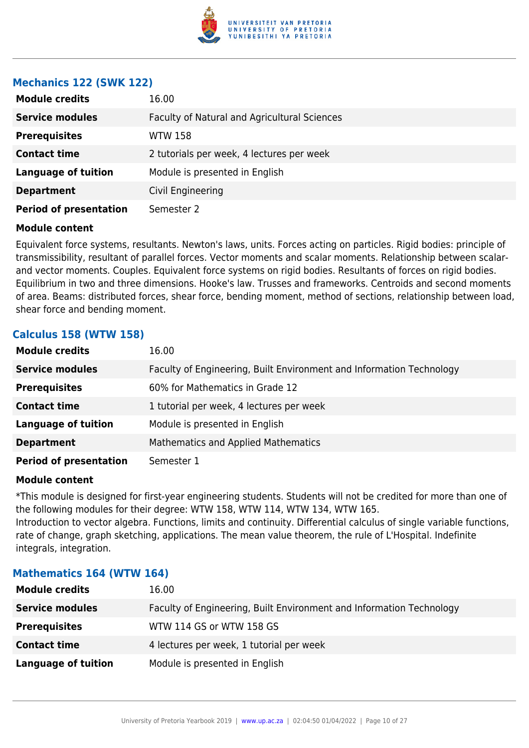

#### **Mechanics 122 (SWK 122)**

| <b>Module credits</b>         | 16.00                                        |
|-------------------------------|----------------------------------------------|
| <b>Service modules</b>        | Faculty of Natural and Agricultural Sciences |
| <b>Prerequisites</b>          | WTW 158                                      |
| <b>Contact time</b>           | 2 tutorials per week, 4 lectures per week    |
| <b>Language of tuition</b>    | Module is presented in English               |
| <b>Department</b>             | Civil Engineering                            |
| <b>Period of presentation</b> | Semester 2                                   |

#### **Module content**

Equivalent force systems, resultants. Newton's laws, units. Forces acting on particles. Rigid bodies: principle of transmissibility, resultant of parallel forces. Vector moments and scalar moments. Relationship between scalarand vector moments. Couples. Equivalent force systems on rigid bodies. Resultants of forces on rigid bodies. Equilibrium in two and three dimensions. Hooke's law. Trusses and frameworks. Centroids and second moments of area. Beams: distributed forces, shear force, bending moment, method of sections, relationship between load, shear force and bending moment.

#### **Calculus 158 (WTW 158)**

| <b>Module credits</b>         | 16.00                                                                |
|-------------------------------|----------------------------------------------------------------------|
| <b>Service modules</b>        | Faculty of Engineering, Built Environment and Information Technology |
| <b>Prerequisites</b>          | 60% for Mathematics in Grade 12                                      |
| <b>Contact time</b>           | 1 tutorial per week, 4 lectures per week                             |
| <b>Language of tuition</b>    | Module is presented in English                                       |
| <b>Department</b>             | <b>Mathematics and Applied Mathematics</b>                           |
| <b>Period of presentation</b> | Semester 1                                                           |

#### **Module content**

\*This module is designed for first-year engineering students. Students will not be credited for more than one of the following modules for their degree: WTW 158, WTW 114, WTW 134, WTW 165. Introduction to vector algebra. Functions, limits and continuity. Differential calculus of single variable functions, rate of change, graph sketching, applications. The mean value theorem, the rule of L'Hospital. Indefinite integrals, integration.

| <b>Module credits</b>  | 16.00                                                                |
|------------------------|----------------------------------------------------------------------|
| <b>Service modules</b> | Faculty of Engineering, Built Environment and Information Technology |
| <b>Prerequisites</b>   | WTW 114 GS or WTW 158 GS                                             |
| <b>Contact time</b>    | 4 lectures per week, 1 tutorial per week                             |
| Language of tuition    | Module is presented in English                                       |

#### **Mathematics 164 (WTW 164)**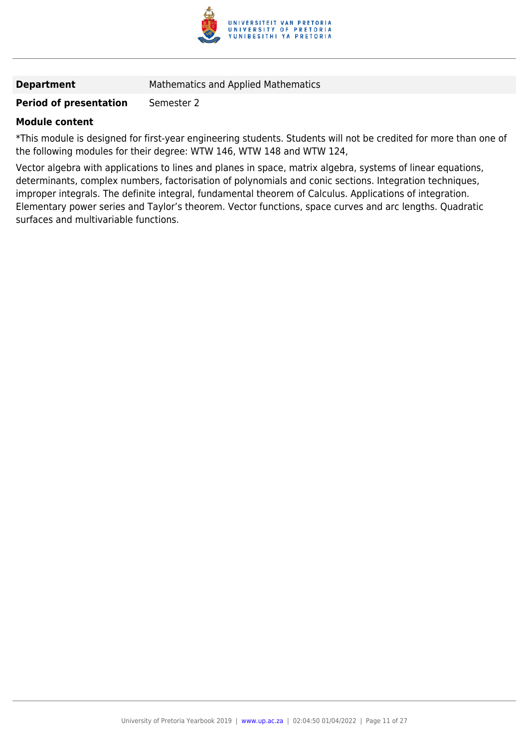

**Department** Mathematics and Applied Mathematics

#### **Period of presentation** Semester 2

#### **Module content**

\*This module is designed for first-year engineering students. Students will not be credited for more than one of the following modules for their degree: WTW 146, WTW 148 and WTW 124,

Vector algebra with applications to lines and planes in space, matrix algebra, systems of linear equations, determinants, complex numbers, factorisation of polynomials and conic sections. Integration techniques, improper integrals. The definite integral, fundamental theorem of Calculus. Applications of integration. Elementary power series and Taylor's theorem. Vector functions, space curves and arc lengths. Quadratic surfaces and multivariable functions.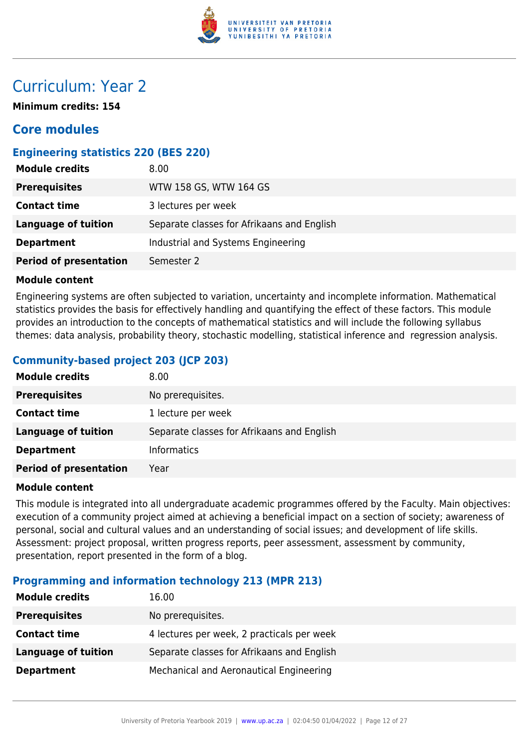

### Curriculum: Year 2

**Minimum credits: 154**

#### **Core modules**

#### **Engineering statistics 220 (BES 220)**

| <b>Module credits</b>         | 8.00                                       |
|-------------------------------|--------------------------------------------|
| <b>Prerequisites</b>          | WTW 158 GS, WTW 164 GS                     |
| <b>Contact time</b>           | 3 lectures per week                        |
| Language of tuition           | Separate classes for Afrikaans and English |
| <b>Department</b>             | Industrial and Systems Engineering         |
| <b>Period of presentation</b> | Semester 2                                 |

#### **Module content**

Engineering systems are often subjected to variation, uncertainty and incomplete information. Mathematical statistics provides the basis for effectively handling and quantifying the effect of these factors. This module provides an introduction to the concepts of mathematical statistics and will include the following syllabus themes: data analysis, probability theory, stochastic modelling, statistical inference and regression analysis.

#### **Community-based project 203 (JCP 203)**

| <b>Module credits</b>         | 8.00                                       |
|-------------------------------|--------------------------------------------|
| <b>Prerequisites</b>          | No prerequisites.                          |
| <b>Contact time</b>           | 1 lecture per week                         |
| <b>Language of tuition</b>    | Separate classes for Afrikaans and English |
| <b>Department</b>             | <b>Informatics</b>                         |
| <b>Period of presentation</b> | Year                                       |

#### **Module content**

This module is integrated into all undergraduate academic programmes offered by the Faculty. Main objectives: execution of a community project aimed at achieving a beneficial impact on a section of society; awareness of personal, social and cultural values and an understanding of social issues; and development of life skills. Assessment: project proposal, written progress reports, peer assessment, assessment by community, presentation, report presented in the form of a blog.

#### **Programming and information technology 213 (MPR 213)**

| <b>Module credits</b> | 16.00                                      |
|-----------------------|--------------------------------------------|
| <b>Prerequisites</b>  | No prerequisites.                          |
| <b>Contact time</b>   | 4 lectures per week, 2 practicals per week |
| Language of tuition   | Separate classes for Afrikaans and English |
| <b>Department</b>     | Mechanical and Aeronautical Engineering    |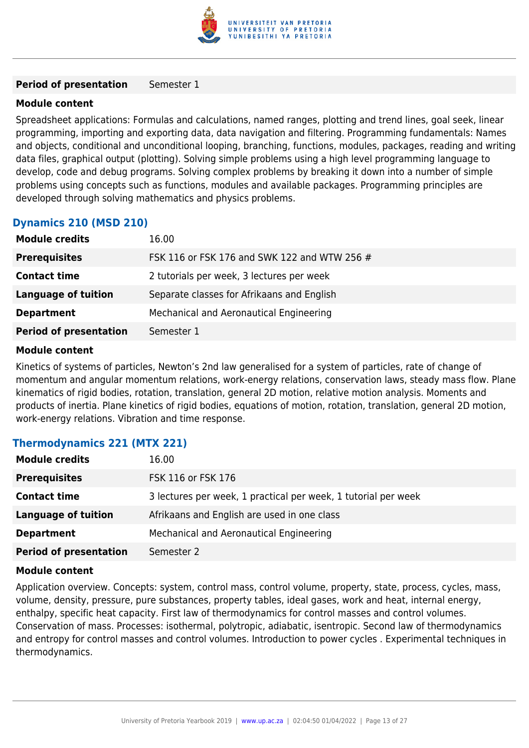

#### **Period of presentation** Semester 1

#### **Module content**

Spreadsheet applications: Formulas and calculations, named ranges, plotting and trend lines, goal seek, linear programming, importing and exporting data, data navigation and filtering. Programming fundamentals: Names and objects, conditional and unconditional looping, branching, functions, modules, packages, reading and writing data files, graphical output (plotting). Solving simple problems using a high level programming language to develop, code and debug programs. Solving complex problems by breaking it down into a number of simple problems using concepts such as functions, modules and available packages. Programming principles are developed through solving mathematics and physics problems.

#### **Dynamics 210 (MSD 210)**

| <b>Module credits</b>         | 16.00                                        |  |
|-------------------------------|----------------------------------------------|--|
| <b>Prerequisites</b>          | FSK 116 or FSK 176 and SWK 122 and WTW 256 # |  |
| <b>Contact time</b>           | 2 tutorials per week, 3 lectures per week    |  |
| <b>Language of tuition</b>    | Separate classes for Afrikaans and English   |  |
| <b>Department</b>             | Mechanical and Aeronautical Engineering      |  |
| <b>Period of presentation</b> | Semester 1                                   |  |

#### **Module content**

Kinetics of systems of particles, Newton's 2nd law generalised for a system of particles, rate of change of momentum and angular momentum relations, work-energy relations, conservation laws, steady mass flow. Plane kinematics of rigid bodies, rotation, translation, general 2D motion, relative motion analysis. Moments and products of inertia. Plane kinetics of rigid bodies, equations of motion, rotation, translation, general 2D motion, work-energy relations. Vibration and time response.

#### **Thermodynamics 221 (MTX 221)**

| <b>Module credits</b>         | 16.00                                                          |
|-------------------------------|----------------------------------------------------------------|
| <b>Prerequisites</b>          | FSK 116 or FSK 176                                             |
| <b>Contact time</b>           | 3 lectures per week, 1 practical per week, 1 tutorial per week |
| <b>Language of tuition</b>    | Afrikaans and English are used in one class                    |
| <b>Department</b>             | Mechanical and Aeronautical Engineering                        |
| <b>Period of presentation</b> | Semester 2                                                     |

#### **Module content**

Application overview. Concepts: system, control mass, control volume, property, state, process, cycles, mass, volume, density, pressure, pure substances, property tables, ideal gases, work and heat, internal energy, enthalpy, specific heat capacity. First law of thermodynamics for control masses and control volumes. Conservation of mass. Processes: isothermal, polytropic, adiabatic, isentropic. Second law of thermodynamics and entropy for control masses and control volumes. Introduction to power cycles . Experimental techniques in thermodynamics.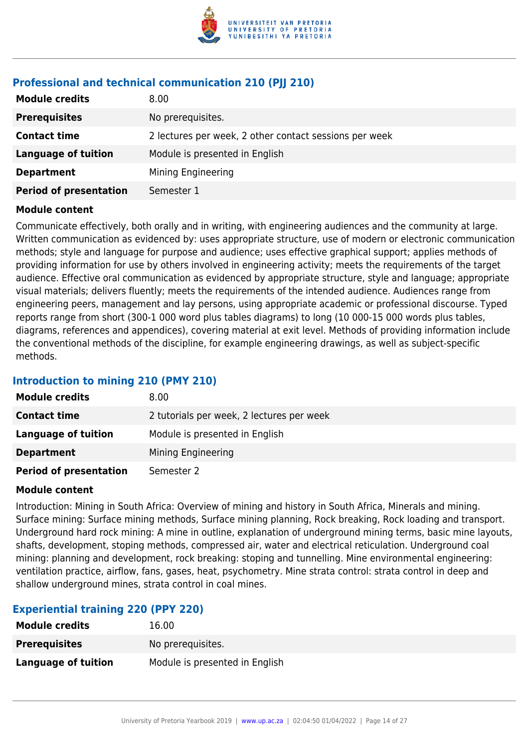

#### **Professional and technical communication 210 (PJJ 210)**

| <b>Module credits</b>         | 8.00                                                   |
|-------------------------------|--------------------------------------------------------|
| <b>Prerequisites</b>          | No prerequisites.                                      |
| <b>Contact time</b>           | 2 lectures per week, 2 other contact sessions per week |
| Language of tuition           | Module is presented in English                         |
| <b>Department</b>             | Mining Engineering                                     |
| <b>Period of presentation</b> | Semester 1                                             |

#### **Module content**

Communicate effectively, both orally and in writing, with engineering audiences and the community at large. Written communication as evidenced by: uses appropriate structure, use of modern or electronic communication methods; style and language for purpose and audience; uses effective graphical support; applies methods of providing information for use by others involved in engineering activity; meets the requirements of the target audience. Effective oral communication as evidenced by appropriate structure, style and language; appropriate visual materials; delivers fluently; meets the requirements of the intended audience. Audiences range from engineering peers, management and lay persons, using appropriate academic or professional discourse. Typed reports range from short (300-1 000 word plus tables diagrams) to long (10 000-15 000 words plus tables, diagrams, references and appendices), covering material at exit level. Methods of providing information include the conventional methods of the discipline, for example engineering drawings, as well as subject-specific methods.

#### **Introduction to mining 210 (PMY 210)**

| <b>Module credits</b>         | 8.00                                      |
|-------------------------------|-------------------------------------------|
| <b>Contact time</b>           | 2 tutorials per week, 2 lectures per week |
| Language of tuition           | Module is presented in English            |
| <b>Department</b>             | Mining Engineering                        |
| <b>Period of presentation</b> | Semester 2                                |

#### **Module content**

Introduction: Mining in South Africa: Overview of mining and history in South Africa, Minerals and mining. Surface mining: Surface mining methods, Surface mining planning, Rock breaking, Rock loading and transport. Underground hard rock mining: A mine in outline, explanation of underground mining terms, basic mine layouts, shafts, development, stoping methods, compressed air, water and electrical reticulation. Underground coal mining: planning and development, rock breaking: stoping and tunnelling. Mine environmental engineering: ventilation practice, airflow, fans, gases, heat, psychometry. Mine strata control: strata control in deep and shallow underground mines, strata control in coal mines.

#### **Experiential training 220 (PPY 220)**

| <b>Module credits</b> | 16.00                          |
|-----------------------|--------------------------------|
| <b>Prerequisites</b>  | No prerequisites.              |
| Language of tuition   | Module is presented in English |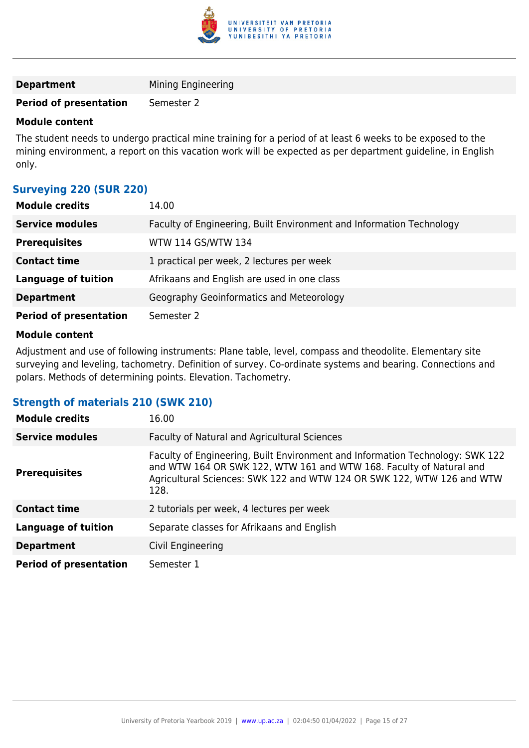

| <b>Department</b> |  | Mining Engineering |
|-------------------|--|--------------------|
|-------------------|--|--------------------|

#### **Period of presentation** Semester 2

#### **Module content**

The student needs to undergo practical mine training for a period of at least 6 weeks to be exposed to the mining environment, a report on this vacation work will be expected as per department guideline, in English only.

#### **Surveying 220 (SUR 220)**

| <b>Module credits</b>         | 14.00                                                                |
|-------------------------------|----------------------------------------------------------------------|
| <b>Service modules</b>        | Faculty of Engineering, Built Environment and Information Technology |
| <b>Prerequisites</b>          | WTW 114 GS/WTW 134                                                   |
| <b>Contact time</b>           | 1 practical per week, 2 lectures per week                            |
| <b>Language of tuition</b>    | Afrikaans and English are used in one class                          |
| <b>Department</b>             | Geography Geoinformatics and Meteorology                             |
| <b>Period of presentation</b> | Semester 2                                                           |

#### **Module content**

Adjustment and use of following instruments: Plane table, level, compass and theodolite. Elementary site surveying and leveling, tachometry. Definition of survey. Co-ordinate systems and bearing. Connections and polars. Methods of determining points. Elevation. Tachometry.

#### **Strength of materials 210 (SWK 210)**

| <b>Module credits</b>         | 16.00                                                                                                                                                                                                                                  |
|-------------------------------|----------------------------------------------------------------------------------------------------------------------------------------------------------------------------------------------------------------------------------------|
| <b>Service modules</b>        | Faculty of Natural and Agricultural Sciences                                                                                                                                                                                           |
| <b>Prerequisites</b>          | Faculty of Engineering, Built Environment and Information Technology: SWK 122<br>and WTW 164 OR SWK 122, WTW 161 and WTW 168. Faculty of Natural and<br>Agricultural Sciences: SWK 122 and WTW 124 OR SWK 122, WTW 126 and WTW<br>128. |
| <b>Contact time</b>           | 2 tutorials per week, 4 lectures per week                                                                                                                                                                                              |
| <b>Language of tuition</b>    | Separate classes for Afrikaans and English                                                                                                                                                                                             |
| <b>Department</b>             | Civil Engineering                                                                                                                                                                                                                      |
| <b>Period of presentation</b> | Semester 1                                                                                                                                                                                                                             |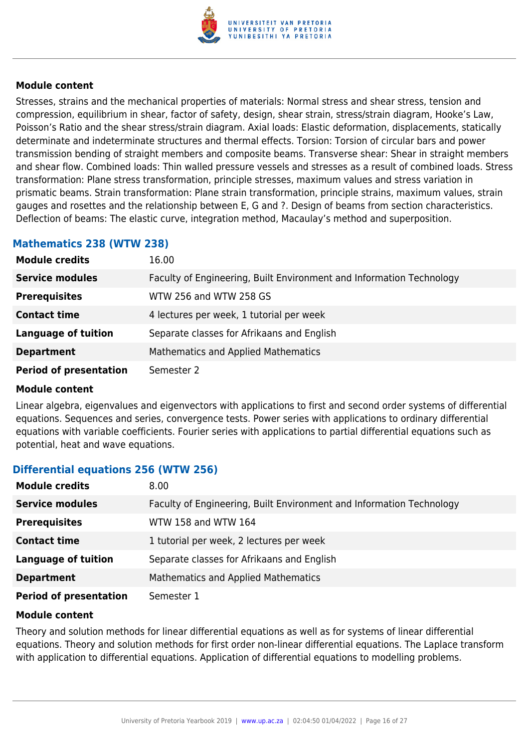

Stresses, strains and the mechanical properties of materials: Normal stress and shear stress, tension and compression, equilibrium in shear, factor of safety, design, shear strain, stress/strain diagram, Hooke's Law, Poisson's Ratio and the shear stress/strain diagram. Axial loads: Elastic deformation, displacements, statically determinate and indeterminate structures and thermal effects. Torsion: Torsion of circular bars and power transmission bending of straight members and composite beams. Transverse shear: Shear in straight members and shear flow. Combined loads: Thin walled pressure vessels and stresses as a result of combined loads. Stress transformation: Plane stress transformation, principle stresses, maximum values and stress variation in prismatic beams. Strain transformation: Plane strain transformation, principle strains, maximum values, strain gauges and rosettes and the relationship between E, G and ?. Design of beams from section characteristics. Deflection of beams: The elastic curve, integration method, Macaulay's method and superposition.

#### **Mathematics 238 (WTW 238)**

| <b>Module credits</b>         | 16.00                                                                |
|-------------------------------|----------------------------------------------------------------------|
| <b>Service modules</b>        | Faculty of Engineering, Built Environment and Information Technology |
| <b>Prerequisites</b>          | WTW 256 and WTW 258 GS                                               |
| <b>Contact time</b>           | 4 lectures per week, 1 tutorial per week                             |
| <b>Language of tuition</b>    | Separate classes for Afrikaans and English                           |
| <b>Department</b>             | <b>Mathematics and Applied Mathematics</b>                           |
| <b>Period of presentation</b> | Semester 2                                                           |

#### **Module content**

Linear algebra, eigenvalues and eigenvectors with applications to first and second order systems of differential equations. Sequences and series, convergence tests. Power series with applications to ordinary differential equations with variable coefficients. Fourier series with applications to partial differential equations such as potential, heat and wave equations.

#### **Differential equations 256 (WTW 256)**

| <b>Module credits</b>         | 8.00                                                                 |
|-------------------------------|----------------------------------------------------------------------|
| <b>Service modules</b>        | Faculty of Engineering, Built Environment and Information Technology |
| <b>Prerequisites</b>          | WTW 158 and WTW 164                                                  |
| <b>Contact time</b>           | 1 tutorial per week, 2 lectures per week                             |
| <b>Language of tuition</b>    | Separate classes for Afrikaans and English                           |
| <b>Department</b>             | Mathematics and Applied Mathematics                                  |
| <b>Period of presentation</b> | Semester 1                                                           |

#### **Module content**

Theory and solution methods for linear differential equations as well as for systems of linear differential equations. Theory and solution methods for first order non-linear differential equations. The Laplace transform with application to differential equations. Application of differential equations to modelling problems.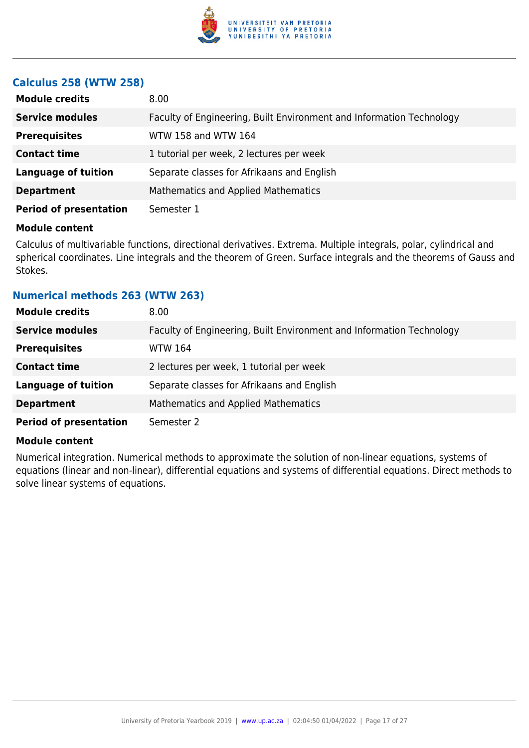

#### **Calculus 258 (WTW 258)**

| <b>Module credits</b>         | 8.00                                                                 |
|-------------------------------|----------------------------------------------------------------------|
| <b>Service modules</b>        | Faculty of Engineering, Built Environment and Information Technology |
| <b>Prerequisites</b>          | WTW 158 and WTW 164                                                  |
| <b>Contact time</b>           | 1 tutorial per week, 2 lectures per week                             |
| <b>Language of tuition</b>    | Separate classes for Afrikaans and English                           |
| <b>Department</b>             | <b>Mathematics and Applied Mathematics</b>                           |
| <b>Period of presentation</b> | Semester 1                                                           |

#### **Module content**

Calculus of multivariable functions, directional derivatives. Extrema. Multiple integrals, polar, cylindrical and spherical coordinates. Line integrals and the theorem of Green. Surface integrals and the theorems of Gauss and Stokes.

#### **Numerical methods 263 (WTW 263)**

| <b>Module credits</b>         | 8.00                                                                 |
|-------------------------------|----------------------------------------------------------------------|
| <b>Service modules</b>        | Faculty of Engineering, Built Environment and Information Technology |
| <b>Prerequisites</b>          | <b>WTW 164</b>                                                       |
| <b>Contact time</b>           | 2 lectures per week, 1 tutorial per week                             |
| <b>Language of tuition</b>    | Separate classes for Afrikaans and English                           |
| <b>Department</b>             | <b>Mathematics and Applied Mathematics</b>                           |
| <b>Period of presentation</b> | Semester 2                                                           |

#### **Module content**

Numerical integration. Numerical methods to approximate the solution of non-linear equations, systems of equations (linear and non-linear), differential equations and systems of differential equations. Direct methods to solve linear systems of equations.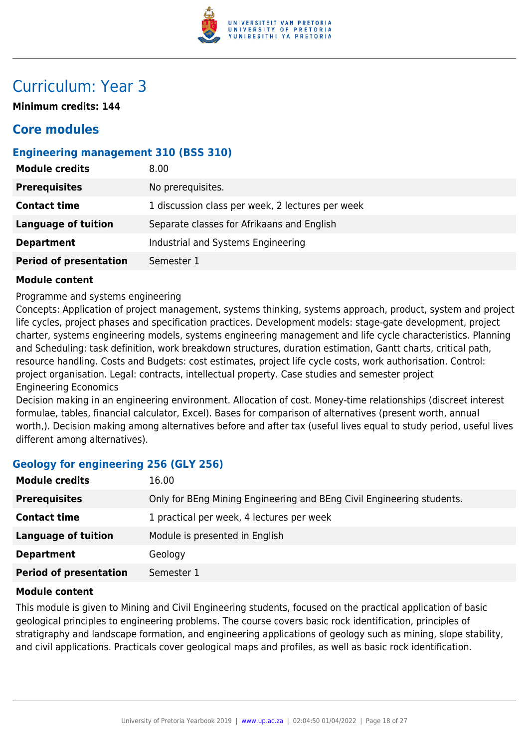

### Curriculum: Year 3

**Minimum credits: 144**

### **Core modules**

#### **Engineering management 310 (BSS 310)**

| <b>Module credits</b>         | 8.00                                             |
|-------------------------------|--------------------------------------------------|
| <b>Prerequisites</b>          | No prerequisites.                                |
| <b>Contact time</b>           | 1 discussion class per week, 2 lectures per week |
| <b>Language of tuition</b>    | Separate classes for Afrikaans and English       |
| <b>Department</b>             | Industrial and Systems Engineering               |
| <b>Period of presentation</b> | Semester 1                                       |

#### **Module content**

Programme and systems engineering

Concepts: Application of project management, systems thinking, systems approach, product, system and project life cycles, project phases and specification practices. Development models: stage-gate development, project charter, systems engineering models, systems engineering management and life cycle characteristics. Planning and Scheduling: task definition, work breakdown structures, duration estimation, Gantt charts, critical path, resource handling. Costs and Budgets: cost estimates, project life cycle costs, work authorisation. Control: project organisation. Legal: contracts, intellectual property. Case studies and semester project Engineering Economics

Decision making in an engineering environment. Allocation of cost. Money-time relationships (discreet interest formulae, tables, financial calculator, Excel). Bases for comparison of alternatives (present worth, annual worth,). Decision making among alternatives before and after tax (useful lives equal to study period, useful lives different among alternatives).

#### **Geology for engineering 256 (GLY 256)**

| <b>Module credits</b>         | 16.00                                                                 |
|-------------------------------|-----------------------------------------------------------------------|
| <b>Prerequisites</b>          | Only for BEng Mining Engineering and BEng Civil Engineering students. |
| <b>Contact time</b>           | 1 practical per week, 4 lectures per week                             |
| <b>Language of tuition</b>    | Module is presented in English                                        |
| <b>Department</b>             | Geology                                                               |
| <b>Period of presentation</b> | Semester 1                                                            |

#### **Module content**

This module is given to Mining and Civil Engineering students, focused on the practical application of basic geological principles to engineering problems. The course covers basic rock identification, principles of stratigraphy and landscape formation, and engineering applications of geology such as mining, slope stability, and civil applications. Practicals cover geological maps and profiles, as well as basic rock identification.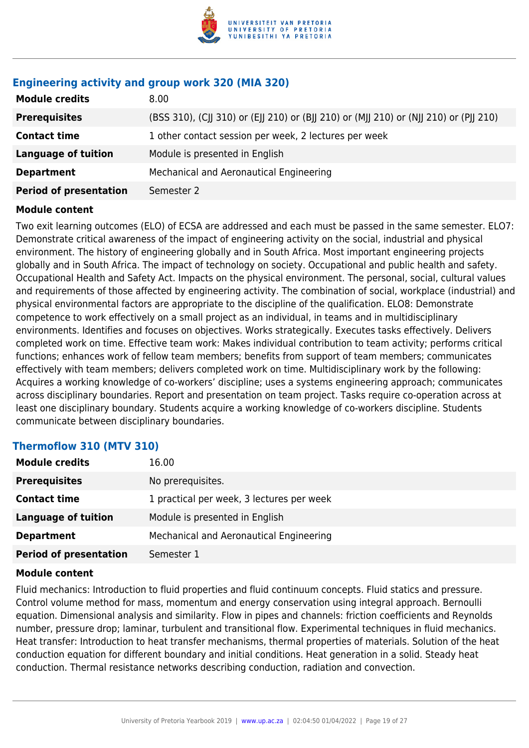

#### **Engineering activity and group work 320 (MIA 320)**

| <b>Module credits</b>         | 8.00                                                                                  |
|-------------------------------|---------------------------------------------------------------------------------------|
| <b>Prerequisites</b>          | (BSS 310), (CJJ 310) or (EJJ 210) or (BJJ 210) or (MJJ 210) or (NJJ 210) or (PJJ 210) |
| <b>Contact time</b>           | 1 other contact session per week, 2 lectures per week                                 |
| <b>Language of tuition</b>    | Module is presented in English                                                        |
| <b>Department</b>             | Mechanical and Aeronautical Engineering                                               |
| <b>Period of presentation</b> | Semester 2                                                                            |
|                               |                                                                                       |

#### **Module content**

Two exit learning outcomes (ELO) of ECSA are addressed and each must be passed in the same semester. ELO7: Demonstrate critical awareness of the impact of engineering activity on the social, industrial and physical environment. The history of engineering globally and in South Africa. Most important engineering projects globally and in South Africa. The impact of technology on society. Occupational and public health and safety. Occupational Health and Safety Act. Impacts on the physical environment. The personal, social, cultural values and requirements of those affected by engineering activity. The combination of social, workplace (industrial) and physical environmental factors are appropriate to the discipline of the qualification. ELO8: Demonstrate competence to work effectively on a small project as an individual, in teams and in multidisciplinary environments. Identifies and focuses on objectives. Works strategically. Executes tasks effectively. Delivers completed work on time. Effective team work: Makes individual contribution to team activity; performs critical functions; enhances work of fellow team members; benefits from support of team members; communicates effectively with team members; delivers completed work on time. Multidisciplinary work by the following: Acquires a working knowledge of co-workers' discipline; uses a systems engineering approach; communicates across disciplinary boundaries. Report and presentation on team project. Tasks require co-operation across at least one disciplinary boundary. Students acquire a working knowledge of co-workers discipline. Students communicate between disciplinary boundaries.

#### **Thermoflow 310 (MTV 310)**

| <b>Module credits</b>         | 16.00                                     |
|-------------------------------|-------------------------------------------|
| <b>Prerequisites</b>          | No prerequisites.                         |
| <b>Contact time</b>           | 1 practical per week, 3 lectures per week |
| <b>Language of tuition</b>    | Module is presented in English            |
| <b>Department</b>             | Mechanical and Aeronautical Engineering   |
| <b>Period of presentation</b> | Semester 1                                |

#### **Module content**

Fluid mechanics: Introduction to fluid properties and fluid continuum concepts. Fluid statics and pressure. Control volume method for mass, momentum and energy conservation using integral approach. Bernoulli equation. Dimensional analysis and similarity. Flow in pipes and channels: friction coefficients and Reynolds number, pressure drop; laminar, turbulent and transitional flow. Experimental techniques in fluid mechanics. Heat transfer: Introduction to heat transfer mechanisms, thermal properties of materials. Solution of the heat conduction equation for different boundary and initial conditions. Heat generation in a solid. Steady heat conduction. Thermal resistance networks describing conduction, radiation and convection.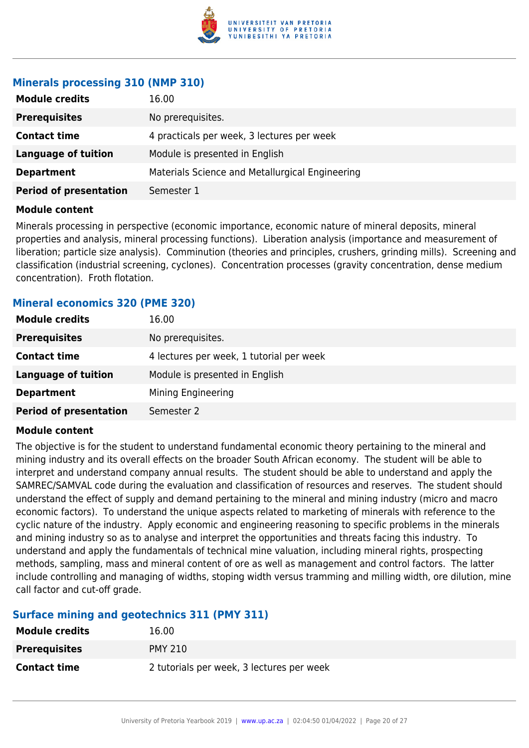

#### **Minerals processing 310 (NMP 310)**

| <b>Module credits</b>         | 16.00                                           |
|-------------------------------|-------------------------------------------------|
| <b>Prerequisites</b>          | No prerequisites.                               |
| <b>Contact time</b>           | 4 practicals per week, 3 lectures per week      |
| <b>Language of tuition</b>    | Module is presented in English                  |
| <b>Department</b>             | Materials Science and Metallurgical Engineering |
| <b>Period of presentation</b> | Semester 1                                      |

#### **Module content**

Minerals processing in perspective (economic importance, economic nature of mineral deposits, mineral properties and analysis, mineral processing functions). Liberation analysis (importance and measurement of liberation; particle size analysis). Comminution (theories and principles, crushers, grinding mills). Screening and classification (industrial screening, cyclones). Concentration processes (gravity concentration, dense medium concentration). Froth flotation.

#### **Mineral economics 320 (PME 320)**

| <b>Module credits</b>         | 16.00                                    |
|-------------------------------|------------------------------------------|
| <b>Prerequisites</b>          | No prerequisites.                        |
| <b>Contact time</b>           | 4 lectures per week, 1 tutorial per week |
| <b>Language of tuition</b>    | Module is presented in English           |
| <b>Department</b>             | Mining Engineering                       |
| <b>Period of presentation</b> | Semester 2                               |

#### **Module content**

The objective is for the student to understand fundamental economic theory pertaining to the mineral and mining industry and its overall effects on the broader South African economy. The student will be able to interpret and understand company annual results. The student should be able to understand and apply the SAMREC/SAMVAL code during the evaluation and classification of resources and reserves. The student should understand the effect of supply and demand pertaining to the mineral and mining industry (micro and macro economic factors). To understand the unique aspects related to marketing of minerals with reference to the cyclic nature of the industry. Apply economic and engineering reasoning to specific problems in the minerals and mining industry so as to analyse and interpret the opportunities and threats facing this industry. To understand and apply the fundamentals of technical mine valuation, including mineral rights, prospecting methods, sampling, mass and mineral content of ore as well as management and control factors. The latter include controlling and managing of widths, stoping width versus tramming and milling width, ore dilution, mine call factor and cut-off grade.

#### **Surface mining and geotechnics 311 (PMY 311)**

| <b>Module credits</b> | 16.00                                     |
|-----------------------|-------------------------------------------|
| <b>Prerequisites</b>  | <b>PMY 210</b>                            |
| <b>Contact time</b>   | 2 tutorials per week, 3 lectures per week |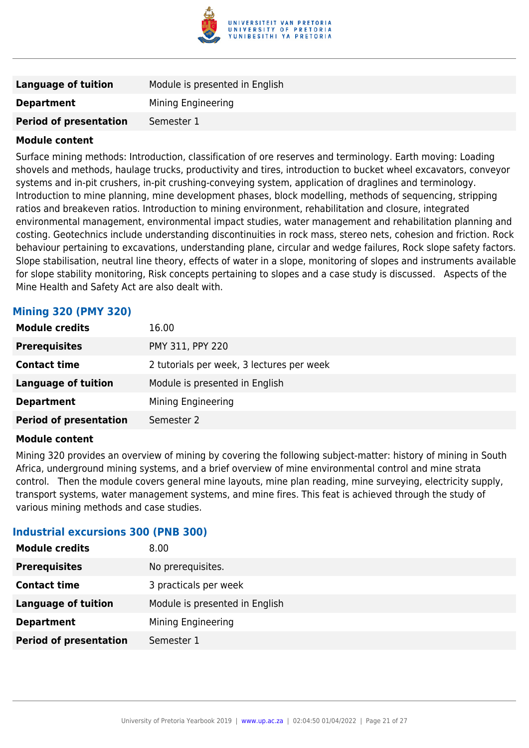

| Language of tuition           | Module is presented in English |
|-------------------------------|--------------------------------|
| <b>Department</b>             | Mining Engineering             |
| <b>Period of presentation</b> | Semester 1                     |

Surface mining methods: Introduction, classification of ore reserves and terminology. Earth moving: Loading shovels and methods, haulage trucks, productivity and tires, introduction to bucket wheel excavators, conveyor systems and in-pit crushers, in-pit crushing-conveying system, application of draglines and terminology. Introduction to mine planning, mine development phases, block modelling, methods of sequencing, stripping ratios and breakeven ratios. Introduction to mining environment, rehabilitation and closure, integrated environmental management, environmental impact studies, water management and rehabilitation planning and costing. Geotechnics include understanding discontinuities in rock mass, stereo nets, cohesion and friction. Rock behaviour pertaining to excavations, understanding plane, circular and wedge failures, Rock slope safety factors. Slope stabilisation, neutral line theory, effects of water in a slope, monitoring of slopes and instruments available for slope stability monitoring, Risk concepts pertaining to slopes and a case study is discussed. Aspects of the Mine Health and Safety Act are also dealt with.

#### **Mining 320 (PMY 320)**

| <b>Module credits</b>         | 16.00                                     |
|-------------------------------|-------------------------------------------|
| <b>Prerequisites</b>          | PMY 311, PPY 220                          |
| <b>Contact time</b>           | 2 tutorials per week, 3 lectures per week |
| <b>Language of tuition</b>    | Module is presented in English            |
| <b>Department</b>             | Mining Engineering                        |
| <b>Period of presentation</b> | Semester 2                                |

#### **Module content**

Mining 320 provides an overview of mining by covering the following subject-matter: history of mining in South Africa, underground mining systems, and a brief overview of mine environmental control and mine strata control. Then the module covers general mine layouts, mine plan reading, mine surveying, electricity supply, transport systems, water management systems, and mine fires. This feat is achieved through the study of various mining methods and case studies.

#### **Industrial excursions 300 (PNB 300)**

| <b>Module credits</b>         | 8.00                           |
|-------------------------------|--------------------------------|
| <b>Prerequisites</b>          | No prerequisites.              |
| <b>Contact time</b>           | 3 practicals per week          |
| Language of tuition           | Module is presented in English |
| <b>Department</b>             | Mining Engineering             |
| <b>Period of presentation</b> | Semester 1                     |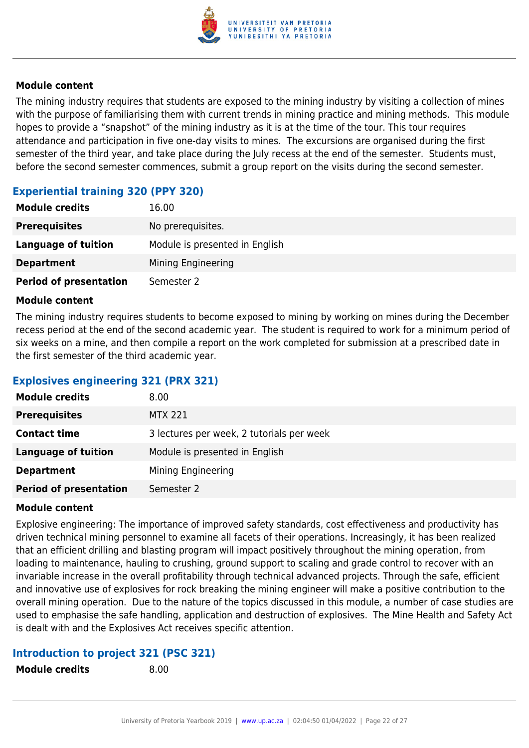

The mining industry requires that students are exposed to the mining industry by visiting a collection of mines with the purpose of familiarising them with current trends in mining practice and mining methods. This module hopes to provide a "snapshot" of the mining industry as it is at the time of the tour. This tour requires attendance and participation in five one-day visits to mines. The excursions are organised during the first semester of the third year, and take place during the July recess at the end of the semester. Students must, before the second semester commences, submit a group report on the visits during the second semester.

#### **Experiential training 320 (PPY 320)**

| <b>Module credits</b>         | 16.00                          |
|-------------------------------|--------------------------------|
| <b>Prerequisites</b>          | No prerequisites.              |
| Language of tuition           | Module is presented in English |
| <b>Department</b>             | Mining Engineering             |
| <b>Period of presentation</b> | Semester 2                     |

#### **Module content**

The mining industry requires students to become exposed to mining by working on mines during the December recess period at the end of the second academic year. The student is required to work for a minimum period of six weeks on a mine, and then compile a report on the work completed for submission at a prescribed date in the first semester of the third academic year.

#### **Explosives engineering 321 (PRX 321)**

| <b>Module credits</b>         | 8.00                                      |
|-------------------------------|-------------------------------------------|
| <b>Prerequisites</b>          | <b>MTX 221</b>                            |
| <b>Contact time</b>           | 3 lectures per week, 2 tutorials per week |
| <b>Language of tuition</b>    | Module is presented in English            |
| <b>Department</b>             | Mining Engineering                        |
| <b>Period of presentation</b> | Semester 2                                |

#### **Module content**

Explosive engineering: The importance of improved safety standards, cost effectiveness and productivity has driven technical mining personnel to examine all facets of their operations. Increasingly, it has been realized that an efficient drilling and blasting program will impact positively throughout the mining operation, from loading to maintenance, hauling to crushing, ground support to scaling and grade control to recover with an invariable increase in the overall profitability through technical advanced projects. Through the safe, efficient and innovative use of explosives for rock breaking the mining engineer will make a positive contribution to the overall mining operation. Due to the nature of the topics discussed in this module, a number of case studies are used to emphasise the safe handling, application and destruction of explosives. The Mine Health and Safety Act is dealt with and the Explosives Act receives specific attention.

#### **Introduction to project 321 (PSC 321)**

**Module credits** 8.00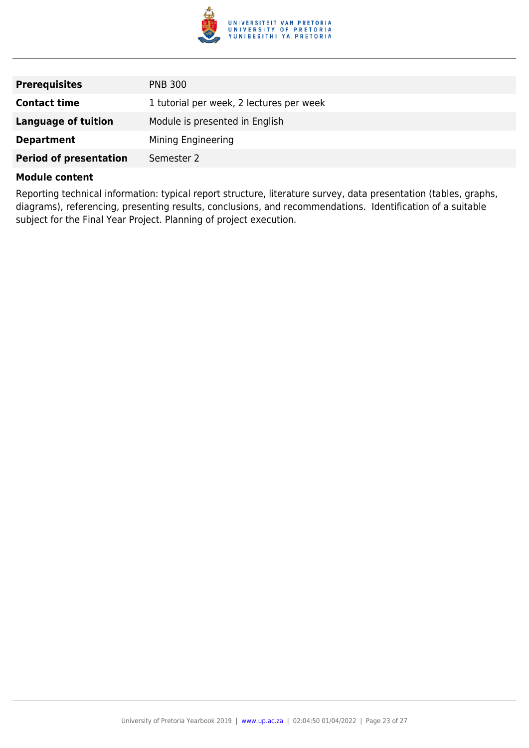

| <b>Prerequisites</b>          | <b>PNB 300</b>                           |
|-------------------------------|------------------------------------------|
| <b>Contact time</b>           | 1 tutorial per week, 2 lectures per week |
| Language of tuition           | Module is presented in English           |
| <b>Department</b>             | Mining Engineering                       |
| <b>Period of presentation</b> | Semester 2                               |

Reporting technical information: typical report structure, literature survey, data presentation (tables, graphs, diagrams), referencing, presenting results, conclusions, and recommendations. Identification of a suitable subject for the Final Year Project. Planning of project execution.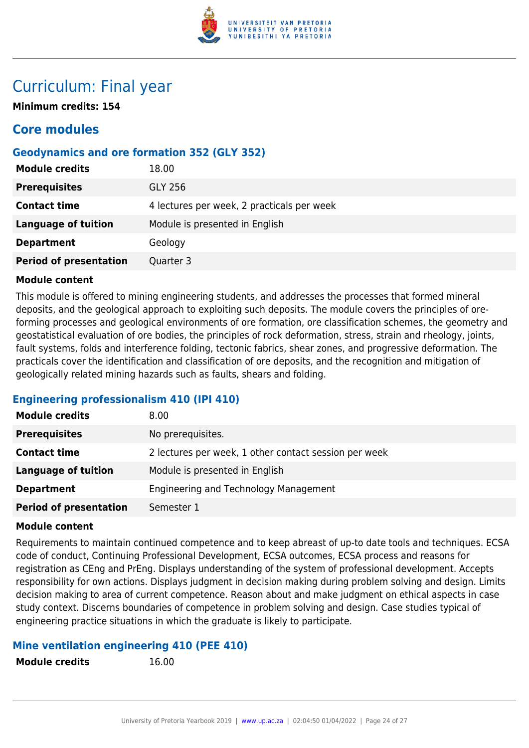

### Curriculum: Final year

**Minimum credits: 154**

### **Core modules**

#### **Geodynamics and ore formation 352 (GLY 352)**

| <b>Module credits</b>         | 18.00                                      |
|-------------------------------|--------------------------------------------|
| <b>Prerequisites</b>          | <b>GLY 256</b>                             |
| <b>Contact time</b>           | 4 lectures per week, 2 practicals per week |
| Language of tuition           | Module is presented in English             |
| <b>Department</b>             | Geology                                    |
| <b>Period of presentation</b> | Quarter 3                                  |

#### **Module content**

This module is offered to mining engineering students, and addresses the processes that formed mineral deposits, and the geological approach to exploiting such deposits. The module covers the principles of oreforming processes and geological environments of ore formation, ore classification schemes, the geometry and geostatistical evaluation of ore bodies, the principles of rock deformation, stress, strain and rheology, joints, fault systems, folds and interference folding, tectonic fabrics, shear zones, and progressive deformation. The practicals cover the identification and classification of ore deposits, and the recognition and mitigation of geologically related mining hazards such as faults, shears and folding.

#### **Engineering professionalism 410 (IPI 410)**

| <b>Module credits</b>         | 8.00                                                  |
|-------------------------------|-------------------------------------------------------|
| <b>Prerequisites</b>          | No prerequisites.                                     |
| <b>Contact time</b>           | 2 lectures per week, 1 other contact session per week |
| Language of tuition           | Module is presented in English                        |
| <b>Department</b>             | Engineering and Technology Management                 |
| <b>Period of presentation</b> | Semester 1                                            |

#### **Module content**

Requirements to maintain continued competence and to keep abreast of up-to date tools and techniques. ECSA code of conduct, Continuing Professional Development, ECSA outcomes, ECSA process and reasons for registration as CEng and PrEng. Displays understanding of the system of professional development. Accepts responsibility for own actions. Displays judgment in decision making during problem solving and design. Limits decision making to area of current competence. Reason about and make judgment on ethical aspects in case study context. Discerns boundaries of competence in problem solving and design. Case studies typical of engineering practice situations in which the graduate is likely to participate.

#### **Mine ventilation engineering 410 (PEE 410)**

**Module credits** 16.00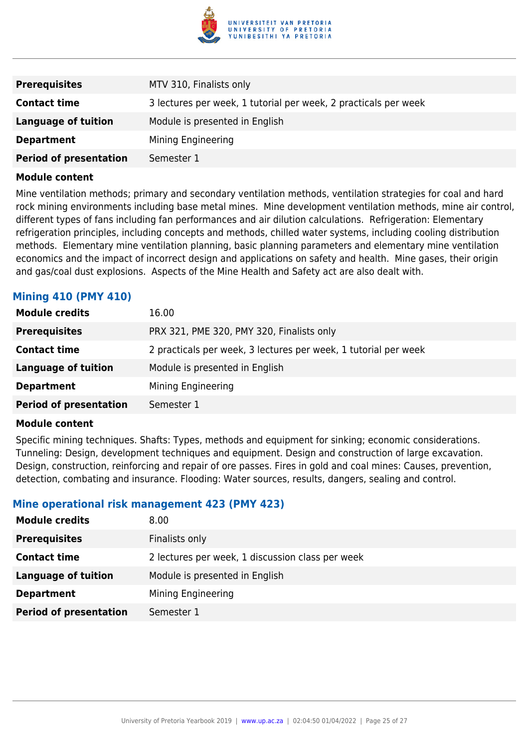

| <b>Prerequisites</b>          | MTV 310, Finalists only                                         |
|-------------------------------|-----------------------------------------------------------------|
| <b>Contact time</b>           | 3 lectures per week, 1 tutorial per week, 2 practicals per week |
| Language of tuition           | Module is presented in English                                  |
| <b>Department</b>             | Mining Engineering                                              |
| <b>Period of presentation</b> | Semester 1                                                      |

Mine ventilation methods; primary and secondary ventilation methods, ventilation strategies for coal and hard rock mining environments including base metal mines. Mine development ventilation methods, mine air control, different types of fans including fan performances and air dilution calculations. Refrigeration: Elementary refrigeration principles, including concepts and methods, chilled water systems, including cooling distribution methods. Elementary mine ventilation planning, basic planning parameters and elementary mine ventilation economics and the impact of incorrect design and applications on safety and health. Mine gases, their origin and gas/coal dust explosions. Aspects of the Mine Health and Safety act are also dealt with.

#### **Mining 410 (PMY 410)**

| <b>Module credits</b>         | 16.00                                                           |
|-------------------------------|-----------------------------------------------------------------|
| <b>Prerequisites</b>          | PRX 321, PME 320, PMY 320, Finalists only                       |
| <b>Contact time</b>           | 2 practicals per week, 3 lectures per week, 1 tutorial per week |
| <b>Language of tuition</b>    | Module is presented in English                                  |
| <b>Department</b>             | Mining Engineering                                              |
| <b>Period of presentation</b> | Semester 1                                                      |

#### **Module content**

Specific mining techniques. Shafts: Types, methods and equipment for sinking; economic considerations. Tunneling: Design, development techniques and equipment. Design and construction of large excavation. Design, construction, reinforcing and repair of ore passes. Fires in gold and coal mines: Causes, prevention, detection, combating and insurance. Flooding: Water sources, results, dangers, sealing and control.

#### **Mine operational risk management 423 (PMY 423)**

| <b>Module credits</b>         | 8.00                                             |
|-------------------------------|--------------------------------------------------|
| <b>Prerequisites</b>          | Finalists only                                   |
| <b>Contact time</b>           | 2 lectures per week, 1 discussion class per week |
| Language of tuition           | Module is presented in English                   |
| <b>Department</b>             | Mining Engineering                               |
| <b>Period of presentation</b> | Semester 1                                       |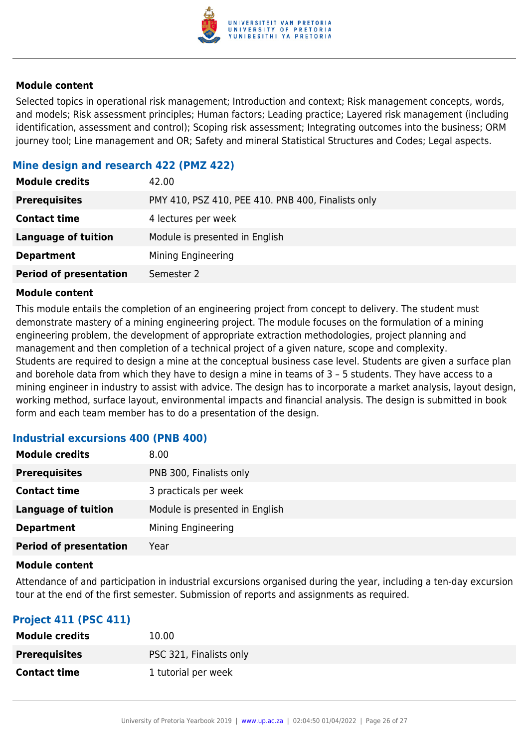

Selected topics in operational risk management; Introduction and context; Risk management concepts, words, and models; Risk assessment principles; Human factors; Leading practice; Layered risk management (including identification, assessment and control); Scoping risk assessment; Integrating outcomes into the business; ORM journey tool; Line management and OR; Safety and mineral Statistical Structures and Codes; Legal aspects.

#### **Mine design and research 422 (PMZ 422)**

| <b>Module credits</b>         | 42.00                                              |
|-------------------------------|----------------------------------------------------|
| <b>Prerequisites</b>          | PMY 410, PSZ 410, PEE 410. PNB 400, Finalists only |
| <b>Contact time</b>           | 4 lectures per week                                |
| <b>Language of tuition</b>    | Module is presented in English                     |
| <b>Department</b>             | Mining Engineering                                 |
| <b>Period of presentation</b> | Semester 2                                         |

#### **Module content**

This module entails the completion of an engineering project from concept to delivery. The student must demonstrate mastery of a mining engineering project. The module focuses on the formulation of a mining engineering problem, the development of appropriate extraction methodologies, project planning and management and then completion of a technical project of a given nature, scope and complexity. Students are required to design a mine at the conceptual business case level. Students are given a surface plan and borehole data from which they have to design a mine in teams of 3 – 5 students. They have access to a mining engineer in industry to assist with advice. The design has to incorporate a market analysis, layout design, working method, surface layout, environmental impacts and financial analysis. The design is submitted in book form and each team member has to do a presentation of the design.

#### **Industrial excursions 400 (PNB 400)**

| <b>Module credits</b>         | 8.00                           |
|-------------------------------|--------------------------------|
| <b>Prerequisites</b>          | PNB 300, Finalists only        |
| <b>Contact time</b>           | 3 practicals per week          |
| <b>Language of tuition</b>    | Module is presented in English |
| <b>Department</b>             | Mining Engineering             |
| <b>Period of presentation</b> | Year                           |

#### **Module content**

Attendance of and participation in industrial excursions organised during the year, including a ten-day excursion tour at the end of the first semester. Submission of reports and assignments as required.

#### **Project 411 (PSC 411)**

| <b>Module credits</b> | 10.00                   |
|-----------------------|-------------------------|
| <b>Prerequisites</b>  | PSC 321, Finalists only |
| <b>Contact time</b>   | 1 tutorial per week     |